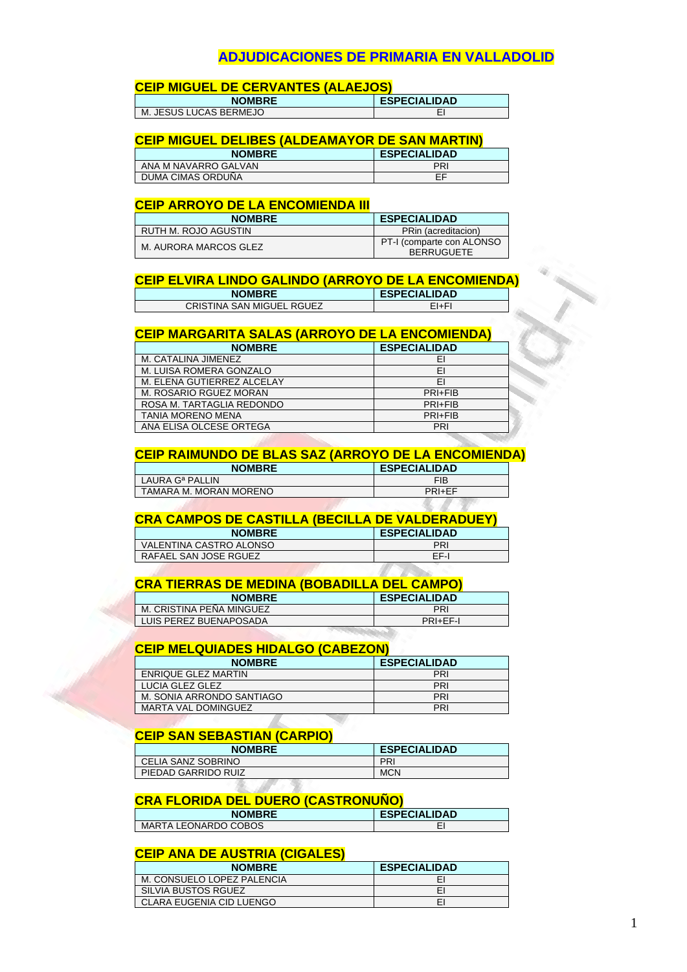## **ADJUDICACIONES DE PRIMARIA EN VALLADOLID**

## **CEIP MIGUEL DE CERVANTES (ALAEJOS)**

| <b>NOMBRE</b>             | <b>ESPECIALIDAD</b> |
|---------------------------|---------------------|
| JESUS LUCAS BERMEJO<br>М. |                     |

#### **CEIP MIGUEL DELIBES (ALDEAMAYOR DE SAN MARTIN)**

| <b>NOMBRE</b>        | <b>ESPECIALIDAD</b> |
|----------------------|---------------------|
| ANA M NAVARRO GALVAN | PRI                 |
| DUMA CIMAS ORDUNA    | EF                  |

#### **CEIP ARROYO DE LA ENCOMIENDA III**

| <b>NOMBRE</b>         | <b>ESPECIALIDAD</b>                            |
|-----------------------|------------------------------------------------|
| RUTH M. ROJO AGUSTIN  | PRin (acreditacion)                            |
| M. AURORA MARCOS GLEZ | PT-I (comparte con ALONSO<br><b>BERRUGUETE</b> |

#### **CEIP ELVIRA LINDO GALINDO (ARROYO DE LA ENCOMIENDA)**

| <b>NOMBRE</b>             | <b>ESPECIALIDAD</b> |
|---------------------------|---------------------|
| CRISTINA SAN MIGUEL RGUEZ | EI+FI               |

#### **CEIP MARGARITA SALAS (ARROYO DE LA ENCOMIENDA)**

| EI      |
|---------|
|         |
| ΕI      |
| FI      |
| PRI+FIB |
| PRI+FIB |
| PRI+FIB |
| PRI     |
|         |

#### **CEIP RAIMUNDO DE BLAS SAZ (ARROYO DE LA ENCOMIENDA)**

| <b>NOMBRE</b>               | <b>ESPECIALIDAD</b> |
|-----------------------------|---------------------|
| LAURA G <sup>a</sup> PALLIN | FIB                 |
| TAMARA M. MORAN MORENO      | PRI+FF              |
|                             |                     |

#### **CRA CAMPOS DE CASTILLA (BECILLA DE VALDERADUEY)**

| <b>NOMBRE</b>           | <b>ESPECIALIDAD</b> |
|-------------------------|---------------------|
| VALENTINA CASTRO ALONSO | PRI                 |
| RAFAEL SAN JOSE RGUEZ   | FF-I                |

#### **CRA TIERRAS DE MEDINA (BOBADILLA DEL CAMPO)**

| <b>NOMBRE</b>            | <b>ESPECIALIDAD</b> |
|--------------------------|---------------------|
| M. CRISTINA PENA MINGUEZ | <b>PRI</b>          |
| LUIS PEREZ BUENAPOSADA   | PRI+FF-I            |

### **CEIP MELQUIADES HIDALGO (CABEZON)**

| <b>NOMBRE</b>              | <b>ESPECIALIDAD</b> |
|----------------------------|---------------------|
| ENRIQUE GLEZ MARTIN        | <b>PRI</b>          |
| LUCIA GLEZ GLEZ            | <b>PRI</b>          |
| M. SONIA ARRONDO SANTIAGO  | PRI                 |
| <b>MARTA VAL DOMINGUEZ</b> | PRI                 |

#### **CEIP SAN SEBASTIAN (CARPIO)**

| <b>NOMBRE</b>       | <b>ESPECIALIDAD</b> |  |
|---------------------|---------------------|--|
| CELIA SANZ SOBRINO  | PRI                 |  |
| PIEDAD GARRIDO RUIZ | <b>MCN</b>          |  |

#### **CRA FLORIDA DEL DUERO (CASTRONUÑO)**

| <b>NOMBRE</b>               | <b>ESPECIALIDAD</b> |
|-----------------------------|---------------------|
| <b>MARTA LEONARDO COBOS</b> |                     |

## **CEIP ANA DE AUSTRIA (CIGALES)**

| <b>NOMBRE</b>              | <b>ESPECIALIDAD</b> |
|----------------------------|---------------------|
| M. CONSUELO LOPEZ PALENCIA | EI                  |
| SILVIA BUSTOS RGUEZ        | EI                  |
| CLARA EUGENIA CID LUENGO   | EI                  |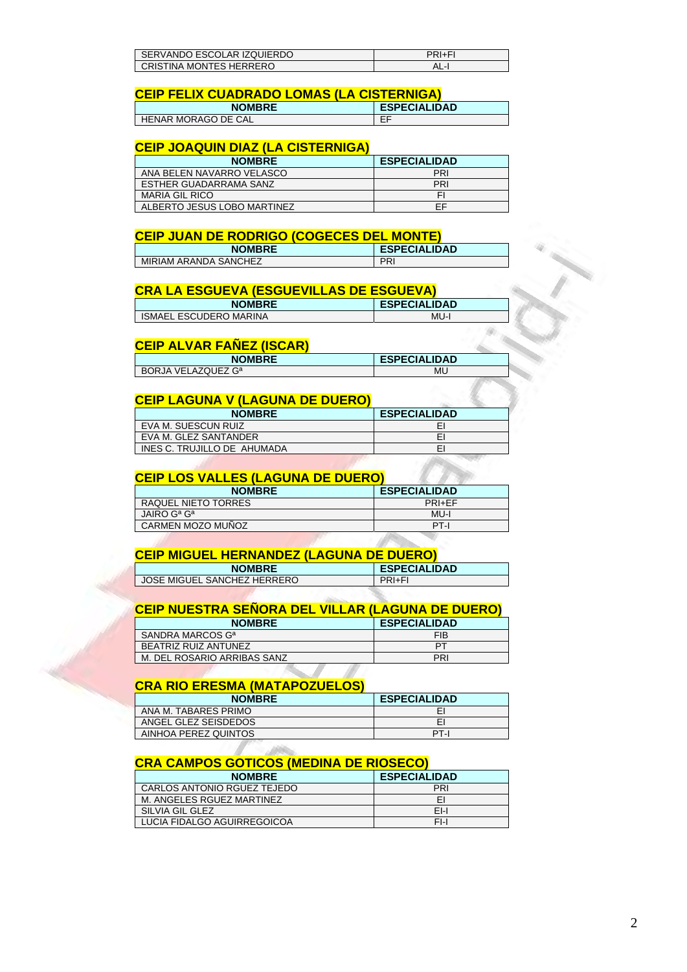| SERVANDO ESCOLAR IZQUIERDO | PRI+FI |
|----------------------------|--------|
| CRISTINA MONTES HERRERO    | AL-I   |

#### **CEIP FELIX CUADRADO LOMAS (LA CISTERNIGA)**

| <b>NOMBRE</b>       | <b>ESPECIALIDAD</b> |
|---------------------|---------------------|
| HENAR MORAGO DE CAL | --<br>∟             |

## **CEIP JOAQUIN DIAZ (LA CISTERNIGA)**

| <b>NOMBRE</b>               | <b>ESPECIALIDAD</b> |
|-----------------------------|---------------------|
| ANA BELEN NAVARRO VELASCO   | PRI                 |
| ESTHER GUADARRAMA SANZ      | PRI                 |
| <b>MARIA GIL RICO</b>       |                     |
| ALBERTO JESUS LOBO MARTINEZ | FF                  |

#### **CEIP JUAN DE RODRIGO (COGECES DEL MONTE)**

| <b>NOMBRE</b>         | <b>ESPECIALIDAD</b> |
|-----------------------|---------------------|
| MIRIAM ARANDA SANCHEZ | PRI                 |

## **CRA LA ESGUEVA (ESGUEVILLAS DE ESGUEVA)**

| <b>NOMBRE</b>                 | <b>ESPECIALIDAD</b> |
|-------------------------------|---------------------|
| <b>ISMAEL ESCUDERO MARINA</b> | MU-I                |

#### **CEIP ALVAR FAÑEZ (ISCAR)**

| <b>NOMBRE</b>                  | <b>ESPECIALIDAD</b> |
|--------------------------------|---------------------|
| BORJA VELAZQUEZ G <sup>a</sup> | MU                  |
|                                |                     |

#### **CEIP LAGUNA V (LAGUNA DE DUERO)**

| <b>NOMBRE</b>               | <b>ESPECIALIDAD</b> |
|-----------------------------|---------------------|
| EVA M. SUESCUN RUIZ         | EI                  |
| EVA M. GLEZ SANTANDER       | EI                  |
| INES C. TRUJILLO DE AHUMADA | EI                  |

#### **CEIP LOS VALLES (LAGUNA DE DUERO)**

| <b>NOMBRE</b>       | <b>ESPECIALIDAD</b> |
|---------------------|---------------------|
| RAQUEL NIETO TORRES | PRI+FF              |
| JAIRO Gª Gª         | MU-I                |
| CARMEN MOZO MUÑOZ   | PT-I                |

### **CEIP MIGUEL HERNANDEZ (LAGUNA DE DUERO)**

| <b>NOMBRE</b>               | <b>ESPECIALIDAD</b> |
|-----------------------------|---------------------|
| JOSE MIGUEL SANCHEZ HERRERO | PRI+FI              |

### **CEIP NUESTRA SEÑORA DEL VILLAR (LAGUNA DE DUERO)**

| <b>NOMBRE</b>                | <b>ESPECIALIDAD</b> |
|------------------------------|---------------------|
| SANDRA MARCOS G <sup>a</sup> | <b>FIB</b>          |
| BEATRIZ RUIZ ANTUNEZ         | PТ                  |
| M. DEL ROSARIO ARRIBAS SANZ  | PRI                 |
|                              |                     |

## **CRA RIO ERESMA (MATAPOZUELOS)**

| <b>NOMBRE</b>        | <b>ESPECIALIDAD</b> |
|----------------------|---------------------|
| ANA M. TABARES PRIMO |                     |
| ANGEL GLEZ SEISDEDOS |                     |
| AINHOA PEREZ QUINTOS | PT-I                |

#### **CRA CAMPOS GOTICOS (MEDINA DE RIOSECO)**

| <b>NOMBRE</b>               | <b>ESPECIALIDAD</b> |
|-----------------------------|---------------------|
| CARLOS ANTONIO RGUEZ TEJEDO | PRI                 |
| M. ANGELES RGUEZ MARTINEZ   | EI                  |
| SILVIA GIL GLEZ             | $F-I$               |
| LUCIA FIDALGO AGUIRREGOICOA | $F-I$               |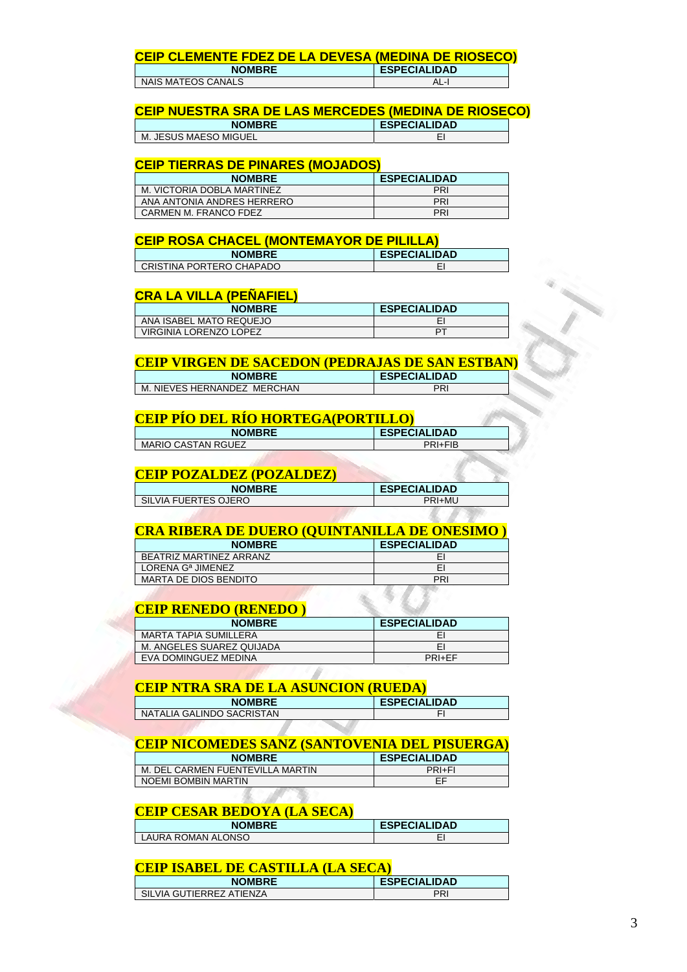# **CEIP CLEMENTE FDEZ DE LA DEVESA (MEDINA DE RIOSECO)**

| <b>NOMBRE</b>      | <b>ESPECIALIDAD</b> |
|--------------------|---------------------|
| NAIS MATEOS CANALS | AL-I                |

#### **CEIP NUESTRA SRA DE LAS MERCEDES (MEDINA DE RIOSECO)**

| <b>NOMBRE</b>        | <b>ESPECIALIDAD</b> |
|----------------------|---------------------|
| . JESUS MAESO MIGUEL | -                   |
| $M_{\odot}$          | -                   |

#### **CEIP TIERRAS DE PINARES (MOJADOS)**

| <b>NOMBRE</b>              | <b>ESPECIALIDAD</b> |
|----------------------------|---------------------|
| M. VICTORIA DOBLA MARTINEZ | PRI                 |
| ANA ANTONIA ANDRES HERRERO | PRI                 |
| CARMEN M. FRANCO FDEZ      | PRI                 |

#### **CEIP ROSA CHACEL (MONTEMAYOR DE PILILLA)**

| <b>NOMBRE</b>            | <b>ESPECIALIDAD</b> |
|--------------------------|---------------------|
| CRISTINA PORTERO CHAPADO |                     |

#### **CRA LA VILLA (PEÑAFIEL)**

| <b>NOMBRE</b>           | <b>ESPECIALIDAD</b> |
|-------------------------|---------------------|
| ANA ISABEL MATO REQUEJO |                     |
| VIRGINIA LORENZO LOPEZ  | DТ                  |

### **CEIP VIRGEN DE SACEDON (PEDRAJAS DE SAN ESTBAN)**

| <b>NOMBRE</b>                    | <b>ESPECIALIDAD</b> |
|----------------------------------|---------------------|
| . NIEVES HERNANDEZ MERCHAN<br>М. | PR.                 |
|                                  |                     |

#### **CEIP PÍO DEL RÍO HORTEGA(PORTILLO)**

| <b>NOMBRE</b>             | <b>ESPECIALIDAD</b> |
|---------------------------|---------------------|
| <b>MARIO CASTAN RGUEZ</b> | PRI+FIB             |
|                           |                     |

## **CEIP POZALDEZ (POZALDEZ)**

| <b>NOMBRE</b>        | <b>ESPECIALIDAD</b> |
|----------------------|---------------------|
| SILVIA FUERTES OJERO | <b>PRI+MU</b>       |
|                      |                     |

#### **CRA RIBERA DE DUERO (QUINTANILLA DE ONESIMO )**

| <b>NOMBRE</b>                 | <b>ESPECIALIDAD</b> |
|-------------------------------|---------------------|
| BEATRIZ MARTINEZ ARRANZ       | EI                  |
| LORENA G <sup>a</sup> JIMENEZ | EI                  |
| <b>MARTA DE DIOS BENDITO</b>  | PRI                 |

## **CEIP RENEDO (RENEDO )**

| <b>NOMBRE</b>                | <b>ESPECIALIDAD</b> |
|------------------------------|---------------------|
| <b>MARTA TAPIA SUMILLERA</b> | EI                  |
| M. ANGELES SUAREZ QUIJADA    | EI                  |
| EVA DOMINGUEZ MEDINA         | <b>PRI+EF</b>       |

## **CEIP NTRA SRA DE LA ASUNCION (RUEDA)**

**CALL AND COMPANY** 

| <b>NOMBRE</b>             | <b>ESPECIALIDAD</b> |
|---------------------------|---------------------|
| NATALIA GALINDO SACRISTAN |                     |
|                           |                     |

## **CEIP NICOMEDES SANZ (SANTOVENIA DEL PISUERGA)**

| <b>NOMBRE</b>                    | <b>ESPECIALIDAD</b> |
|----------------------------------|---------------------|
| M. DEL CARMEN FUENTEVILLA MARTIN | PRI+FI              |
| NOEMI BOMBIN MARTIN              | FF                  |
|                                  |                     |

## **CEIP CESAR BEDOYA (LA SECA)**

| <b>NOMBRE</b>      | <b>ESPECIALIDAD</b> |
|--------------------|---------------------|
| LAURA ROMAN ALONSO | -                   |

#### **CEIP ISABEL DE CASTILLA (LA SECA)**

| <b>NOMBRE</b>            | <b>ESPECIALIDAD</b> |
|--------------------------|---------------------|
| SILVIA GUTIERREZ ATIENZA | וסם                 |
|                          |                     |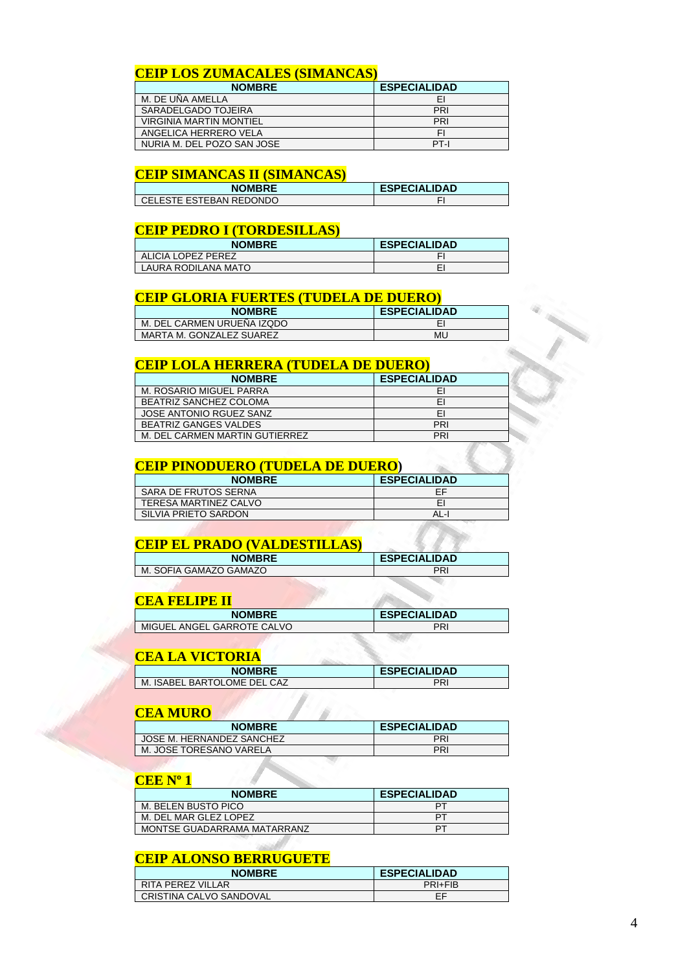## **CEIP LOS ZUMACALES (SIMANCAS)**

| <b>NOMBRE</b>                  | <b>ESPECIALIDAD</b> |
|--------------------------------|---------------------|
| M. DE UÑA AMELLA               | EI                  |
| SARADELGADO TOJEIRA            | PRI                 |
| <b>VIRGINIA MARTIN MONTIEL</b> | PRI                 |
| ANGELICA HERRERO VELA          | FI                  |
| NURIA M. DEL POZO SAN JOSE     | PT-I                |

## **CEIP SIMANCAS II (SIMANCAS)**

| <b>NOMBRE</b>             | <b>ESPECIALIDAD</b> |
|---------------------------|---------------------|
| l CELESTE ESTEBAN REDONDO |                     |

#### **CEIP PEDRO I (TORDESILLAS)**

| <b>NOMBRE</b>       | <b>ESPECIALIDAD</b> |
|---------------------|---------------------|
| ALICIA LOPEZ PEREZ  |                     |
| LAURA RODILANA MATO |                     |

### **CEIP GLORIA FUERTES (TUDELA DE DUERO)**

| <b>NOMBRE</b>              | <b>ESPECIALIDAD</b> |
|----------------------------|---------------------|
| M. DEL CARMEN URUENA IZQDO |                     |
| MARTA M. GONZALEZ SUAREZ   | ML                  |

#### **CEIP LOLA HERRERA (TUDELA DE DUERO)**

| <b>NOMBRE</b>                  | <b>ESPECIALIDAD</b> |
|--------------------------------|---------------------|
| M. ROSARIO MIGUEL PARRA        | ΕI                  |
| <b>BEATRIZ SANCHEZ COLOMA</b>  | EI                  |
| JOSE ANTONIO RGUEZ SANZ        | EI                  |
| <b>BEATRIZ GANGES VALDES</b>   | <b>PRI</b>          |
| M. DEL CARMEN MARTIN GUTIERREZ | PRI                 |

## **CEIP PINODUERO (TUDELA DE DUERO)**

| <b>NOMBRE</b>         | <b>ESPECIALIDAD</b> |
|-----------------------|---------------------|
| SARA DE FRUTOS SERNA  | EF                  |
| TERESA MARTINEZ CALVO | FI                  |
| SILVIA PRIETO SARDON  | AL-I                |

#### **CEIP EL PRADO (VALDESTILLAS)**

| <b>NOMBRE</b>          | <b>ESPECIALIDAD</b> |
|------------------------|---------------------|
| M. SOFIA GAMAZO GAMAZO | PRI                 |

#### **CEA FELIPE II**

| <b>NOMBRE</b>              | <b>ESPECIALIDAD</b> |
|----------------------------|---------------------|
| MIGUEL ANGEL GARROTE CALVO | PRI                 |
|                            |                     |

## **CEA LA VICTORIA**

| <b>NOMBRE</b>               | <b>ESPECIALIDAD</b> |
|-----------------------------|---------------------|
| M. ISABEL BARTOLOME DEL CAZ | PRI                 |
|                             |                     |

#### **CEA MURO**

| <b>NOMBRE</b>             | <b>ESPECIALIDAD</b> |
|---------------------------|---------------------|
| JOSE M. HERNANDEZ SANCHEZ | PRI                 |
| M. JOSE TORESANO VARELA   | PRI                 |

#### **CEE Nº 1**

| <b>NOMBRE</b>               | <b>ESPECIALIDAD</b> |
|-----------------------------|---------------------|
| M. BELEN BUSTO PICO         | PТ                  |
| M. DEL MAR GLEZ LOPEZ       | PТ                  |
| MONTSE GUADARRAMA MATARRANZ | PТ                  |

## **CEIP ALONSO BERRUGUETE**

| <b>NOMBRE</b>           | <b>ESPECIALIDAD</b> |
|-------------------------|---------------------|
| RITA PEREZ VILLAR       | PRI+FIB             |
| CRISTINA CALVO SANDOVAL | ЕF                  |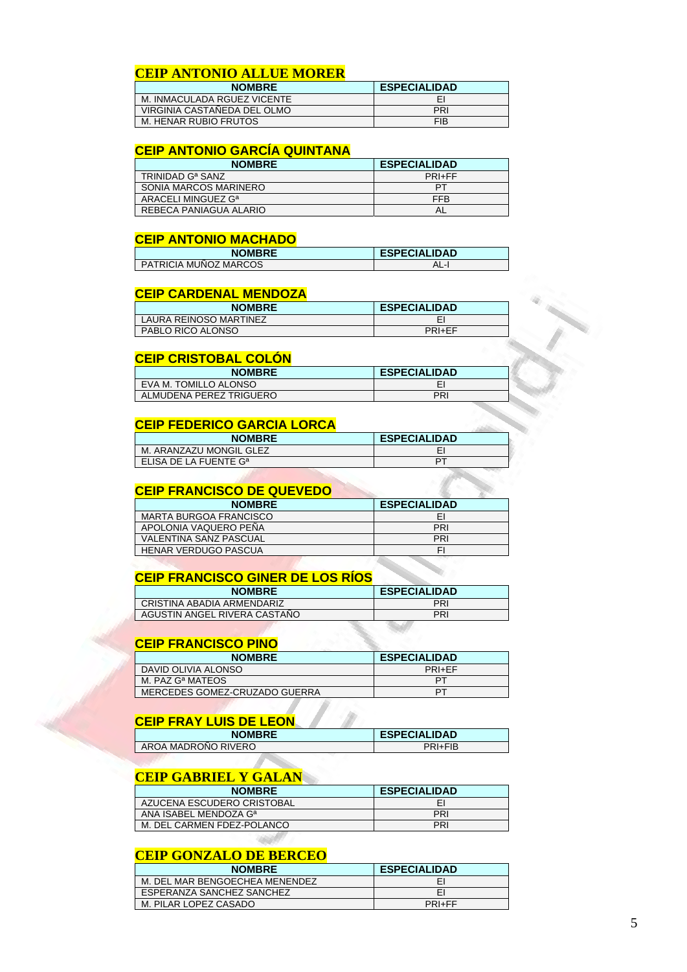## **CEIP ANTONIO ALLUE MORER**

| <b>NOMBRE</b>               | <b>ESPECIALIDAD</b> |
|-----------------------------|---------------------|
| M. INMACULADA RGUEZ VICENTE | EI                  |
| VIRGINIA CASTAÑEDA DEL OLMO | PRI                 |
| M. HENAR RUBIO FRUTOS       | <b>FIB</b>          |

#### **CEIP ANTONIO GARCÍA QUINTANA**

| <b>NOMBRE</b>                  | <b>ESPECIALIDAD</b> |
|--------------------------------|---------------------|
| TRINIDAD G <sup>a</sup> SANZ   | PRI+FF              |
| SONIA MARCOS MARINERO          | PТ                  |
| ARACELI MINGUEZ G <sup>a</sup> | <b>FFB</b>          |
| REBECA PANJAGUA ALARIO         | AL                  |

#### **CEIP ANTONIO MACHADO**

| <b>NOMBRE</b>         | <b>ESPECIALIDAD</b> |
|-----------------------|---------------------|
| PATRICIA MUNOZ MARCOS | AL-l                |

#### **CEIP CARDENAL MENDOZA**

| <b>NOMBRE</b>          | <b>ESPECIALIDAD</b> |
|------------------------|---------------------|
| LAURA REINOSO MARTINEZ |                     |
| PABLO RICO ALONSO      | PRI+FF              |

#### **CEIP CRISTOBAL COLÓN**

| <b>NOMBRE</b>           | <b>ESPECIALIDAD</b> |
|-------------------------|---------------------|
| EVA M. TOMILLO ALONSO   |                     |
| ALMUDENA PEREZ TRIGUERO | PRI                 |

#### **CEIP FEDERICO GARCIA LORCA**

| <b>NOMBRE</b>                     | <b>ESPECIALIDAD</b> |
|-----------------------------------|---------------------|
| M. ARANZAZU MONGIL GLEZ           |                     |
| ELISA DE LA FUENTE G <sup>a</sup> | DТ                  |

#### **CEIP FRANCISCO DE QUEVEDO**

| <b>NOMBRE</b>                 | <b>ESPECIALIDAD</b> |
|-------------------------------|---------------------|
| <b>MARTA BURGOA FRANCISCO</b> | EI                  |
| APOLONIA VAQUERO PEÑA         | PRI                 |
| VALENTINA SANZ PASCUAL        | PRI                 |
| <b>HENAR VERDUGO PASCUA</b>   | FI                  |

### **CEIP FRANCISCO GINER DE LOS RÍOS**

| <b>NOMBRE</b>                | <b>ESPECIALIDAD</b> |
|------------------------------|---------------------|
| CRISTINA ABADIA ARMENDARIZ   | PRI                 |
| AGUSTIN ANGEL RIVERA CASTANO | PRI                 |
|                              |                     |

## **CEIP FRANCISCO PINO**

| <b>NOMBRE</b>                 | <b>ESPECIALIDAD</b> |
|-------------------------------|---------------------|
| DAVID OLIVIA ALONSO           | PRI+EF              |
| M. PAZ G <sup>a</sup> MATEOS  | PТ                  |
| MERCEDES GOMEZ-CRUZADO GUERRA | רם                  |

## **CEIP FRAY LUIS DE LEON**

| <b>NOMBRE</b>       | <b>ESPECIALIDAD</b> |
|---------------------|---------------------|
| AROA MADRONO RIVERO | PRI+FIB             |
|                     |                     |

## **CEIP GABRIEL Y GALAN**

| <b>NOMBRE</b>                     | <b>ESPECIALIDAD</b> |
|-----------------------------------|---------------------|
| AZUCENA ESCUDERO CRISTOBAL        |                     |
| ANA ISABEL MENDOZA G <sup>a</sup> | PRI                 |
| M. DEL CARMEN FDEZ-POLANCO        | PRI                 |

## **CEIP GONZALO DE BERCEO**

1200

| <b>NOMBRE</b>                  | <b>ESPECIALIDAD</b> |
|--------------------------------|---------------------|
| M. DEL MAR BENGOECHEA MENENDEZ | EI                  |
| ESPERANZA SANCHEZ SANCHEZ      | EI                  |
| M. PILAR LOPEZ CASADO          | PRI+FF              |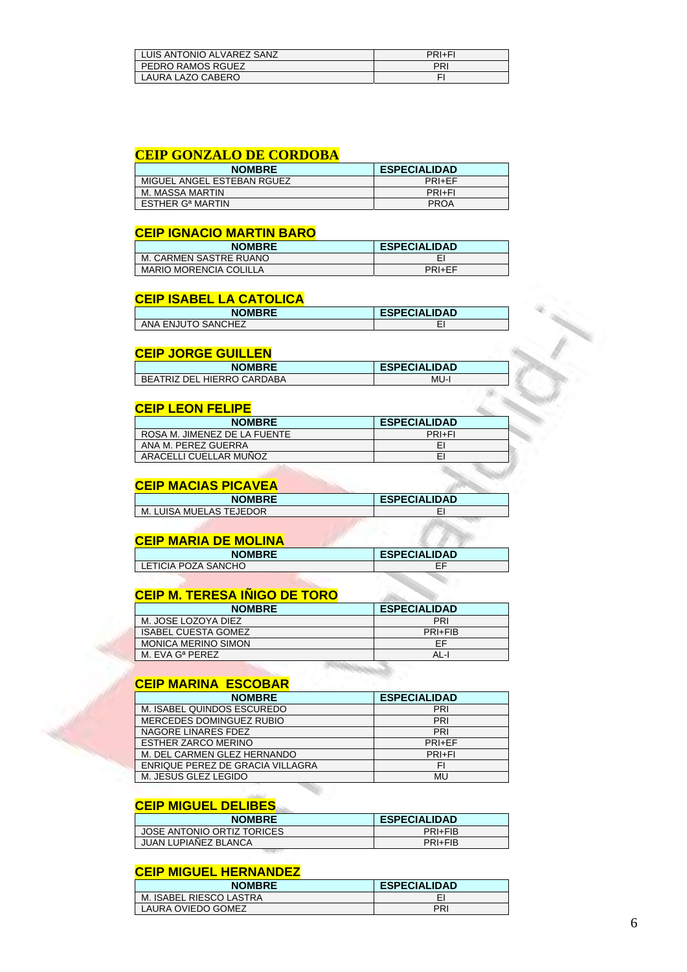| LUIS ANTONIO ALVAREZ SANZ | PRI+FI |
|---------------------------|--------|
| PEDRO RAMOS RGUEZ         | PRI    |
| LAURA LAZO CABERO         |        |

#### **CEIP GONZALO DE CORDOBA**

| <b>NOMBRE</b>                      | <b>ESPECIALIDAD</b> |
|------------------------------------|---------------------|
| MIGUEL ANGEL ESTEBAN RGUEZ         | PRI+FF              |
| M. MASSA MARTIN                    | PRI+FI              |
| <b>ESTHER G<sup>a</sup> MARTIN</b> | <b>PROA</b>         |

#### **CEIP IGNACIO MARTIN BARO**

| <b>NOMBRE</b>                 | <b>ESPECIALIDAD</b> |
|-------------------------------|---------------------|
| M. CARMEN SASTRE RUANO        |                     |
| <b>MARIO MORENCIA COLILLA</b> | PRI+FF              |

#### **CEIP ISABEL LA CATOLICA**

| <b>NOMBRE</b>      | <b>ESPECIALIDAD</b> |
|--------------------|---------------------|
| ANA ENJUTO SANCHEZ |                     |

#### **CEIP JORGE GUILLEN**

| <b>NOMBRE</b>              | <b>ESPECIALIDAD</b> |
|----------------------------|---------------------|
| BEATRIZ DEL HIERRO CARDABA | MU-l                |

#### **CEIP LEON FELIPE**

| <b>NOMBRE</b>                | <b>ESPECIALIDAD</b> |
|------------------------------|---------------------|
| ROSA M. JIMENEZ DE LA FUENTE | PRI+FI              |
| ANA M. PEREZ GUERRA          | EI                  |
| ARACELLI CUELLAR MUÑOZ       | E                   |

## **CEIP MACIAS PICAVEA**

| <b>NOMBRE</b>                | <b>ESPECIALIDAD</b> |
|------------------------------|---------------------|
| . LUISA MUELAS TEJEDOR<br>М. |                     |
|                              |                     |

## **CEIP MARIA DE MOLINA**

| <b>NOMBRE</b>       | <b>ESPECIALIDAD</b> |
|---------------------|---------------------|
| LETICIA POZA SANCHO |                     |
|                     |                     |

## **CEIP M. TERESA IÑIGO DE TORO**

| <b>NOMBRE</b>              | <b>ESPECIALIDAD</b> |
|----------------------------|---------------------|
| M. JOSE LOZOYA DIEZ        | PRI                 |
| ISABEL CUESTA GOMEZ        | PRI+FIB             |
| <b>MONICA MERINO SIMON</b> | FF                  |
| M. EVA Gª PEREZ            | AL-I                |

## **CEIP MARINA ESCOBAR**

| <b>NOMBRE</b>                    | <b>ESPECIALIDAD</b> |
|----------------------------------|---------------------|
| M. ISABEL QUINDOS ESCUREDO       | PRI                 |
| MERCEDES DOMINGUEZ RUBIO         | PRI                 |
| NAGORE LINARES FDEZ              | PRI                 |
| <b>ESTHER ZARCO MERINO</b>       | PRI+FF              |
| M. DEL CARMEN GLEZ HERNANDO      | PRI+FI              |
| ENRIQUE PEREZ DE GRACIA VILLAGRA | FI                  |
| M. JESUS GLEZ LEGIDO             | MU                  |

#### **CEIP MIGUEL DELIBES**

| <b>NOMBRE</b>               | <b>ESPECIALIDAD</b> |
|-----------------------------|---------------------|
| JOSE ANTONIO ORTIZ TORICES  | PRI+FIB             |
| <b>JUAN LUPIANEZ BLANCA</b> | PRI+FIB             |

#### **CEIP MIGUEL HERNANDEZ**

| <b>NOMBRE</b>           | <b>ESPECIALIDAD</b> |
|-------------------------|---------------------|
| M. ISABEL RIESCO LASTRA |                     |
| LAURA OVIEDO GOMEZ      | PRI                 |
|                         |                     |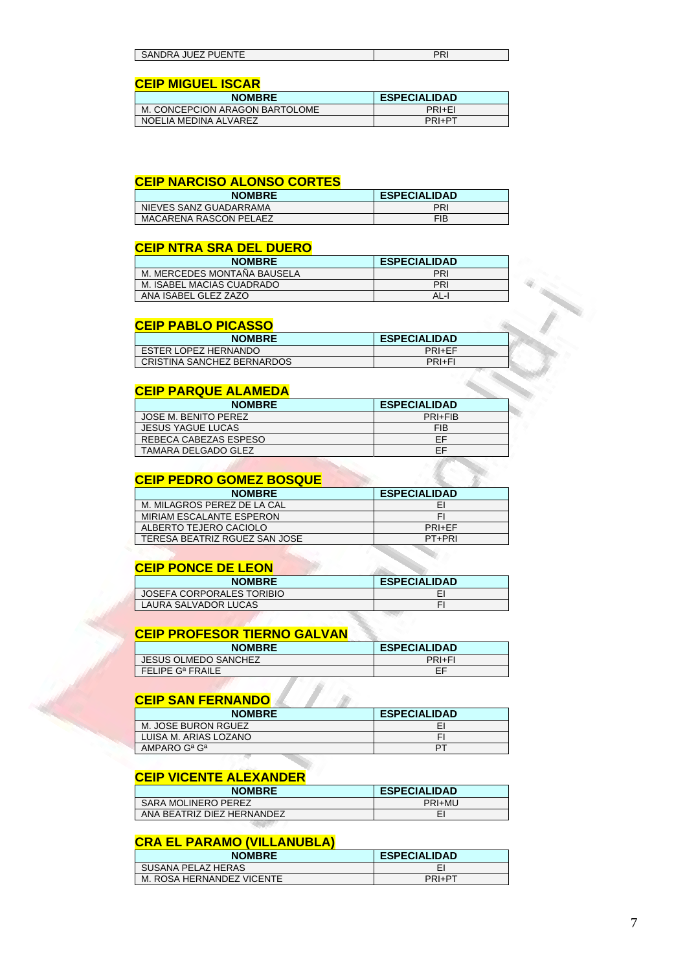| -1.1 <del>.</del> 1<br>10<br>⊃∆<br>:ANL<br>אנ<br>. IVI<br>$\sim$ 11<br>JГ<br>JЕ<br><b>ONVERVATO CLASSICAL</b> | . |
|---------------------------------------------------------------------------------------------------------------|---|
|                                                                                                               |   |

## **CEIP MIGUEL ISCAR**

| <b>NOMBRE</b>                  | <b>ESPECIALIDAD</b> |
|--------------------------------|---------------------|
| M. CONCEPCION ARAGON BARTOLOME | PRI+FI              |
| NOELIA MEDINA ALVAREZ          | PRI+PT              |

#### **CEIP NARCISO ALONSO CORTES**

| <b>NOMBRE</b>                 | <b>ESPECIALIDAD</b> |
|-------------------------------|---------------------|
| NIEVES SANZ GUADARRAMA        | PRI                 |
| <b>MACARENA RASCON PELAEZ</b> | <b>FIB</b>          |

## **CEIP NTRA SRA DEL DUERO**

| <b>NOMBRE</b>               | <b>ESPECIALIDAD</b> |
|-----------------------------|---------------------|
| M. MERCEDES MONTAÑA BAUSELA | PRI                 |
| M. ISABEL MACIAS CUADRADO   | PRI                 |
| ANA ISABEL GLEZ ZAZO        | AL-I                |

## **CEIP PABLO PICASSO**

| <b>NOMBRE</b>              | <b>ESPECIALIDAD</b> |
|----------------------------|---------------------|
| ESTER LOPEZ HERNANDO       | PRI+FF              |
| CRISTINA SANCHEZ BERNARDOS | PRI+FI              |

## **CEIP PARQUE ALAMEDA**

| <b>NOMBRE</b>            | <b>ESPECIALIDAD</b> |
|--------------------------|---------------------|
| JOSE M. BENITO PEREZ     | PRI+FIB             |
| <b>JESUS YAGUE LUCAS</b> | <b>FIB</b>          |
| REBECA CABEZAS ESPESO    | FF                  |
| TAMARA DELGADO GLEZ      | EF                  |

### **CEIP PEDRO GOMEZ BOSQUE**

| <b>NOMBRE</b>                 | <b>ESPECIALIDAD</b> |
|-------------------------------|---------------------|
| M. MILAGROS PEREZ DE LA CAL   | EI                  |
| MIRIAM ESCALANTE ESPERON      | FI                  |
| ALBERTO TEJERO CACIOLO        | PRI+FF              |
| TERESA BEATRIZ RGUEZ SAN JOSE | PT+PRI              |

## **CEIP PONCE DE LEON**

| <b>NOMBRE</b>             | <b>ESPECIALIDAD</b> |
|---------------------------|---------------------|
| JOSEFA CORPORALES TORIBIO |                     |
| LAURA SALVADOR LUCAS      |                     |

## **CEIP PROFESOR TIERNO GALVAN**

| <b>NOMBRE</b>                | <b>ESPECIALIDAD</b> |
|------------------------------|---------------------|
| <b>JESUS OLMEDO SANCHEZ</b>  | PRI+FI              |
| FELIPE G <sup>a</sup> FRAILE | FF                  |

#### **CEIP SAN FERNANDO**

| <b>NOMBRE</b>                        | <b>ESPECIALIDAD</b> |
|--------------------------------------|---------------------|
| M. JOSE BURON RGUEZ                  |                     |
| LUISA M. ARIAS LOZANO                |                     |
| AMPARO G <sup>a</sup> G <sup>a</sup> | P.                  |

## **CEIP VICENTE ALEXANDER**

| <b>NOMBRE</b>              | <b>ESPECIALIDAD</b> |
|----------------------------|---------------------|
| SARA MOLINERO PEREZ        | PRI+MU              |
| ANA BEATRIZ DIEZ HERNANDEZ |                     |

## **CRA EL PARAMO (VILLANUBLA)**

| <b>NOMBRE</b>             | <b>ESPECIALIDAD</b> |
|---------------------------|---------------------|
| SUSANA PELAZ HERAS        |                     |
| M. ROSA HERNANDEZ VICENTE | PRI+PT              |